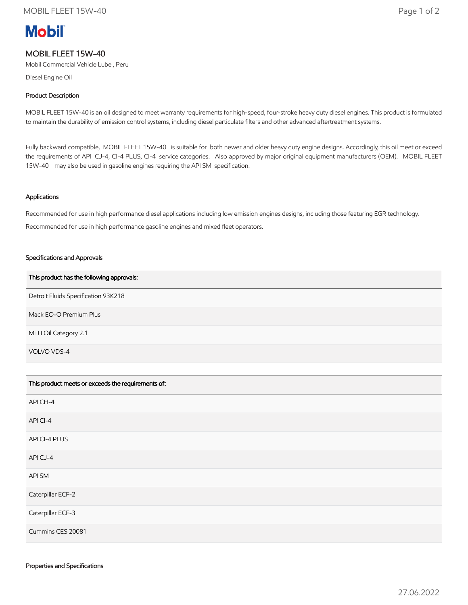# **Mobil**

## MOBIL FLEET 15W-40

Mobil Commercial Vehicle Lube , Peru

Diesel Engine Oil

### Product Description

MOBIL FLEET 15W-40 is an oil designed to meet warranty requirements for high-speed, four-stroke heavy duty diesel engines. This product is formulated to maintain the durability of emission control systems, including diesel particulate filters and other advanced aftertreatment systems.

Fully backward compatible, MOBIL FLEET 15W-40 is suitable for both newer and older heavy duty engine designs. Accordingly, this oil meet or exceed the requirements of API CJ-4, CI-4 PLUS, CI-4 service categories. Also approved by major original equipment manufacturers (OEM). MOBIL FLEET 15W-40 may also be used in gasoline engines requiring the API SM specification.

#### Applications

Recommended for use in high performance diesel applications including low emission engines designs, including those featuring EGR technology. Recommended for use in high performance gasoline engines and mixed fleet operators.

#### Specifications and Approvals

| This product has the following approvals: |
|-------------------------------------------|
| Detroit Fluids Specification 93K218       |
| Mack EO-O Premium Plus                    |
| MTU Oil Category 2.1                      |
| VOLVO VDS-4                               |

| This product meets or exceeds the requirements of: |
|----------------------------------------------------|
| API CH-4                                           |
| API CI-4                                           |
| API CI-4 PLUS                                      |
| APICJ-4                                            |
| API SM                                             |
| Caterpillar ECF-2                                  |
| Caterpillar ECF-3                                  |
| Cummins CES 20081                                  |